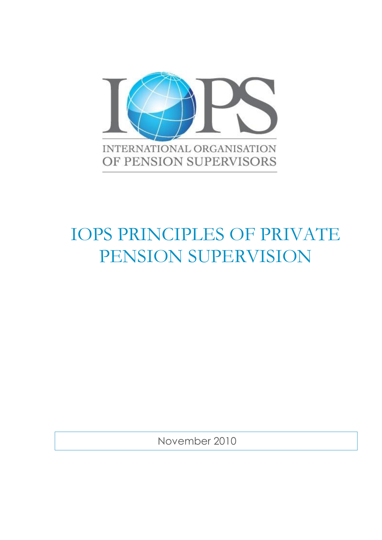

# IOPS PRINCIPLES OF PRIVATE PENSION SUPERVISION

November 2010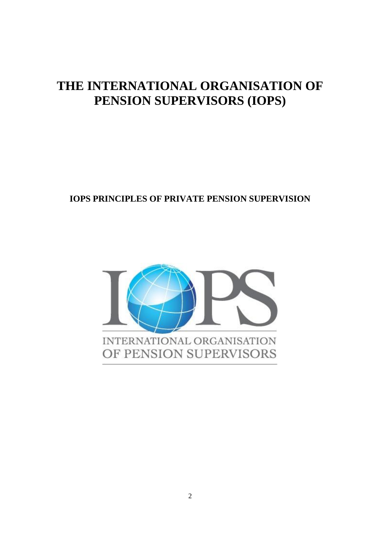# **THE INTERNATIONAL ORGANISATION OF PENSION SUPERVISORS (IOPS)**

**IOPS PRINCIPLES OF PRIVATE PENSION SUPERVISION**

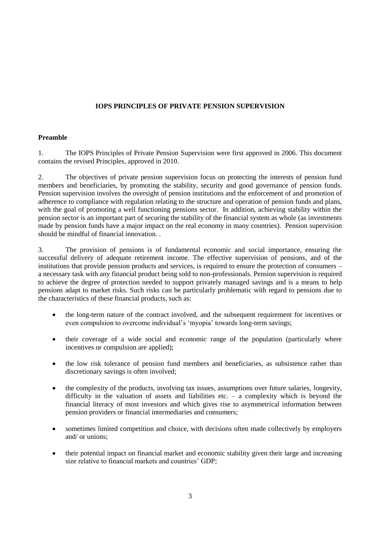# **IOPS PRINCIPLES OF PRIVATE PENSION SUPERVISION**

#### **Preamble**

1. The IOPS Principles of Private Pension Supervision were first approved in 2006. This document contains the revised Principles, approved in 2010.

2. The objectives of private pension supervision focus on protecting the interests of pension fund members and beneficiaries, by promoting the stability, security and good governance of pension funds. Pension supervision involves the oversight of pension institutions and the enforcement of and promotion of adherence to compliance with regulation relating to the structure and operation of pension funds and plans, with the goal of promoting a well functioning pensions sector. In addition, achieving stability within the pension sector is an important part of securing the stability of the financial system as whole (as investments made by pension funds have a major impact on the real economy in many countries). Pension supervision should be mindful of financial innovation. .

3. The provision of pensions is of fundamental economic and social importance, ensuring the successful delivery of adequate retirement income. The effective supervision of pensions, and of the institutions that provide pension products and services, is required to ensure the protection of consumers – a necessary task with any financial product being sold to non-professionals. Pension supervision is required to achieve the degree of protection needed to support privately managed savings and is a means to help pensions adapt to market risks. Such risks can be particularly problematic with regard to pensions due to the characteristics of these financial products, such as:

- the long-term nature of the contract involved, and the subsequent requirement for incentives or even compulsion to overcome individual's 'myopia' towards long-term savings;
- their coverage of a wide social and economic range of the population (particularly where incentives or compulsion are applied);
- the low risk tolerance of pension fund members and beneficiaries, as subsistence rather than discretionary savings is often involved;
- the complexity of the products, involving tax issues, assumptions over future salaries, longevity, difficulty in the valuation of assets and liabilities etc. – a complexity which is beyond the financial literacy of most investors and which gives rise to asymmetrical information between pension providers or financial intermediaries and consumers;
- sometimes limited competition and choice, with decisions often made collectively by employers and/ or unions;
- their potential impact on financial market and economic stability given their large and increasing size relative to financial markets and countries' GDP;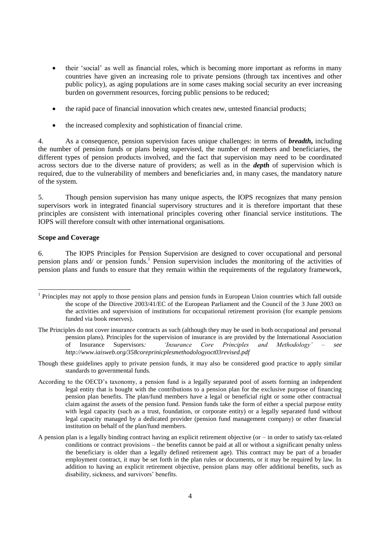- their 'social' as well as financial roles, which is becoming more important as reforms in many countries have given an increasing role to private pensions (through tax incentives and other public policy), as aging populations are in some cases making social security an ever increasing burden on government resources, forcing public pensions to be reduced;
- the rapid pace of financial innovation which creates new, untested financial products;
- the increased complexity and sophistication of financial crime.

4. As a consequence, pension supervision faces unique challenges: in terms of *breadth***,** including the number of pension funds or plans being supervised, the number of members and beneficiaries, the different types of pension products involved, and the fact that supervision may need to be coordinated across sectors due to the diverse nature of providers; as well as in the *depth* of supervision which is required, due to the vulnerability of members and beneficiaries and, in many cases, the mandatory nature of the system.

5. Though pension supervision has many unique aspects, the IOPS recognizes that many pension supervisors work in integrated financial supervisory structures and it is therefore important that these principles are consistent with international principles covering other financial service institutions. The IOPS will therefore consult with other international organisations.

#### **Scope and Coverage**

 $\overline{a}$ 

6. The IOPS Principles for Pension Supervision are designed to cover occupational and personal pension plans and/ or pension funds. 1 Pension supervision includes the monitoring of the activities of pension plans and funds to ensure that they remain within the requirements of the regulatory framework,

- The Principles do not cover insurance contracts as such (although they may be used in both occupational and personal pension plans). Principles for the supervision of insurance is are provided by the International Association of Insurance Supervisors*: 'Insurance Core Principles and Methodology' – see http://www.iaisweb.org/358coreprinicplesmethodologyoct03revised.pdf*
- Though these guidelines apply to private pension funds, it may also be considered good practice to apply similar standards to governmental funds.
- According to the OECD's taxonomy, a pension fund is a legally separated pool of assets forming an independent legal entity that is bought with the contributions to a pension plan for the exclusive purpose of financing pension plan benefits. The plan/fund members have a legal or beneficial right or some other contractual claim against the assets of the pension fund. Pension funds take the form of either a special purpose entity with legal capacity (such as a trust, foundation, or corporate entity) or a legally separated fund without legal capacity managed by a dedicated provider (pension fund management company) or other financial institution on behalf of the plan/fund members.
- A pension plan is a legally binding contract having an explicit retirement objective (or in order to satisfy tax-related conditions or contract provisions – the benefits cannot be paid at all or without a significant penalty unless the beneficiary is older than a legally defined retirement age). This contract may be part of a broader employment contract, it may be set forth in the plan rules or documents, or it may be required by law. In addition to having an explicit retirement objective, pension plans may offer additional benefits, such as disability, sickness, and survivors' benefits.

<sup>&</sup>lt;sup>1</sup> Principles may not apply to those pension plans and pension funds in European Union countries which fall outside the scope of the Directive 2003/41/EC of the European Parliament and the Council of the 3 June 2003 on the activities and supervision of institutions for occupational retirement provision (for example pensions funded via book reserves).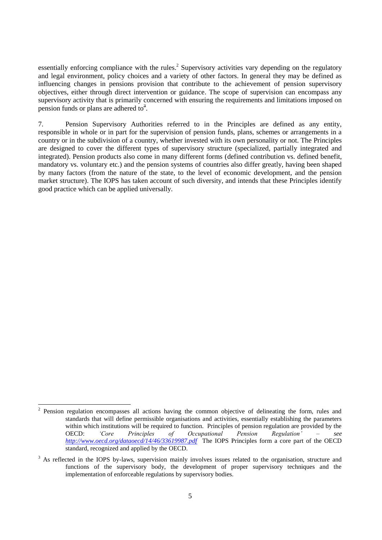essentially enforcing compliance with the rules.<sup>2</sup> Supervisory activities vary depending on the regulatory and legal environment, policy choices and a variety of other factors. In general they may be defined as influencing changes in pensions provision that contribute to the achievement of pension supervisory objectives, either through direct intervention or guidance. The scope of supervision can encompass any supervisory activity that is primarily concerned with ensuring the requirements and limitations imposed on pension funds or plans are adhered to $3$ .

7. Pension Supervisory Authorities referred to in the Principles are defined as any entity, responsible in whole or in part for the supervision of pension funds, plans, schemes or arrangements in a country or in the subdivision of a country, whether invested with its own personality or not. The Principles are designed to cover the different types of supervisory structure (specialized, partially integrated and integrated). Pension products also come in many different forms (defined contribution vs. defined benefit, mandatory vs. voluntary etc.) and the pension systems of countries also differ greatly, having been shaped by many factors (from the nature of the state, to the level of economic development, and the pension market structure). The IOPS has taken account of such diversity, and intends that these Principles identify good practice which can be applied universally.

  $2$  Pension regulation encompasses all actions having the common objective of delineating the form, rules and standards that will define permissible organisations and activities, essentially establishing the parameters within which institutions will be required to function. Principles of pension regulation are provided by the OECD: *'Core Principles of Occupational Pension Regulation' – see <http://www.oecd.org/dataoecd/14/46/33619987.pdf>*The IOPS Principles form a core part of the OECD standard, recognized and applied by the OECD.

<sup>&</sup>lt;sup>3</sup> As reflected in the IOPS by-laws, supervision mainly involves issues related to the organisation, structure and functions of the supervisory body, the development of proper supervisory techniques and the implementation of enforceable regulations by supervisory bodies.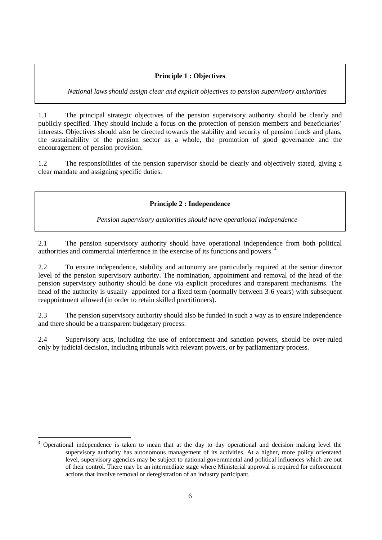#### **Principle 1 : Objectives**

*National laws should assign clear and explicit objectives to pension supervisory authorities*

1.1 The principal strategic objectives of the pension supervisory authority should be clearly and publicly specified. They should include a focus on the protection of pension members and beneficiaries' interests. Objectives should also be directed towards the stability and security of pension funds and plans, the sustainability of the pension sector as a whole, the promotion of good governance and the encouragement of pension provision.

1.2 The responsibilities of the pension supervisor should be clearly and objectively stated, giving a clear mandate and assigning specific duties.

**Principle 2 : Independence**

*Pension supervisory authorities should have operational independence* 

2.1 The pension supervisory authority should have operational independence from both political authorities and commercial interference in the exercise of its functions and powers. <sup>4</sup>

2.2 To ensure independence, stability and autonomy are particularly required at the senior director level of the pension supervisory authority. The nomination, appointment and removal of the head of the pension supervisory authority should be done via explicit procedures and transparent mechanisms. The head of the authority is usually appointed for a fixed term (normally between 3-6 years) with subsequent reappointment allowed (in order to retain skilled practitioners).

2.3 The pension supervisory authority should also be funded in such a way as to ensure independence and there should be a transparent budgetary process.

2.4 Supervisory acts, including the use of enforcement and sanction powers, should be over-ruled only by judicial decision, including tribunals with relevant powers, or by parliamentary process.

 $\overline{a}$ 

<sup>4</sup> Operational independence is taken to mean that at the day to day operational and decision making level the supervisory authority has autonomous management of its activities. At a higher, more policy orientated level, supervisory agencies may be subject to national governmental and political influences which are out of their control. There may be an intermediate stage where Ministerial approval is required for enforcement actions that involve removal or deregistration of an industry participant.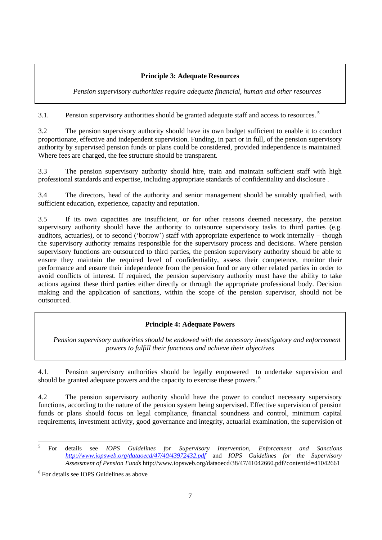# **Principle 3: Adequate Resources**

*Pension supervisory authorities require adequate financial, human and other resources*

3.1. Pension supervisory authorities should be granted adequate staff and access to resources.<sup>5</sup>

3.2 The pension supervisory authority should have its own budget sufficient to enable it to conduct proportionate, effective and independent supervision. Funding, in part or in full, of the pension supervisory authority by supervised pension funds or plans could be considered, provided independence is maintained. Where fees are charged, the fee structure should be transparent.

3.3 The pension supervisory authority should hire, train and maintain sufficient staff with high professional standards and expertise, including appropriate standards of confidentiality and disclosure .

3.4 The directors, head of the authority and senior management should be suitably qualified, with sufficient education, experience, capacity and reputation.

3.5 If its own capacities are insufficient, or for other reasons deemed necessary, the pension supervisory authority should have the authority to outsource supervisory tasks to third parties (e.g. auditors, actuaries), or to second ('borrow') staff with appropriate experience to work internally – though the supervisory authority remains responsible for the supervisory process and decisions. Where pension supervisory functions are outsourced to third parties, the pension supervisory authority should be able to ensure they maintain the required level of confidentiality, assess their competence, monitor their performance and ensure their independence from the pension fund or any other related parties in order to avoid conflicts of interest. If required, the pension supervisory authority must have the ability to take actions against these third parties either directly or through the appropriate professional body. Decision making and the application of sanctions, within the scope of the pension supervisor, should not be outsourced.

# **Principle 4: Adequate Powers**

*Pension supervisory authorities should be endowed with the necessary investigatory and enforcement powers to fulfill their functions and achieve their objectives*

4.1. Pension supervisory authorities should be legally empowered to undertake supervision and should be granted adequate powers and the capacity to exercise these powers.<sup>6</sup>

4.2 The pension supervisory authority should have the power to conduct necessary supervisory functions, according to the nature of the pension system being supervised. Effective supervision of pension funds or plans should focus on legal compliance, financial soundness and control, minimum capital requirements, investment activity, good governance and integrity, actuarial examination, the supervision of

 $\overline{a}$ 

<sup>5</sup> For details see *IOPS Guidelines for Supervisory Intervention, Enforcement and Sanctions <http://www.iopsweb.org/dataoecd/47/40/43972432.pdf>* and *IOPS Guidelines for the Supervisory Assessment of Pension Funds* http://www.iopsweb.org/dataoecd/38/47/41042660.pdf?contentId=41042661

<sup>6</sup> For details see IOPS Guidelines as above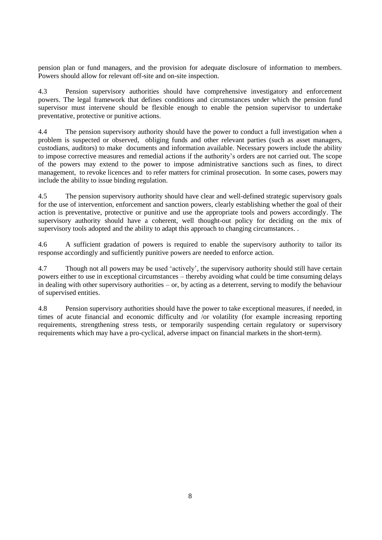pension plan or fund managers, and the provision for adequate disclosure of information to members. Powers should allow for relevant off-site and on-site inspection.

4.3 Pension supervisory authorities should have comprehensive investigatory and enforcement powers. The legal framework that defines conditions and circumstances under which the pension fund supervisor must intervene should be flexible enough to enable the pension supervisor to undertake preventative, protective or punitive actions.

4.4 The pension supervisory authority should have the power to conduct a full investigation when a problem is suspected or observed, obliging funds and other relevant parties (such as asset managers, custodians, auditors) to make documents and information available. Necessary powers include the ability to impose corrective measures and remedial actions if the authority's orders are not carried out. The scope of the powers may extend to the power to impose administrative sanctions such as fines, to direct management, to revoke licences and to refer matters for criminal prosecution. In some cases, powers may include the ability to issue binding regulation.

4.5 The pension supervisory authority should have clear and well-defined strategic supervisory goals for the use of intervention, enforcement and sanction powers, clearly establishing whether the goal of their action is preventative, protective or punitive and use the appropriate tools and powers accordingly. The supervisory authority should have a coherent, well thought-out policy for deciding on the mix of supervisory tools adopted and the ability to adapt this approach to changing circumstances. .

4.6 A sufficient gradation of powers is required to enable the supervisory authority to tailor its response accordingly and sufficiently punitive powers are needed to enforce action.

4.7 Though not all powers may be used 'actively', the supervisory authority should still have certain powers either to use in exceptional circumstances – thereby avoiding what could be time consuming delays in dealing with other supervisory authorities – or, by acting as a deterrent, serving to modify the behaviour of supervised entities.

4.8 Pension supervisory authorities should have the power to take exceptional measures, if needed, in times of acute financial and economic difficulty and /or volatility (for example increasing reporting requirements, strengthening stress tests, or temporarily suspending certain regulatory or supervisory requirements which may have a pro-cyclical, adverse impact on financial markets in the short-term).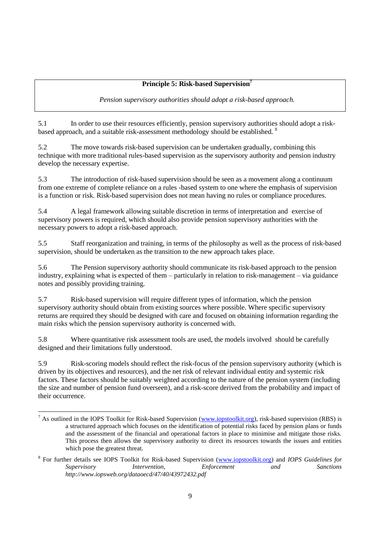# **Principle 5: Risk-based Supervision<sup>7</sup>**

*Pension supervisory authorities should adopt a risk-based approach.* 

5.1 In order to use their resources efficiently, pension supervisory authorities should adopt a riskbased approach, and a suitable risk-assessment methodology should be established.<sup>8</sup>

5.2 The move towards risk-based supervision can be undertaken gradually, combining this technique with more traditional rules-based supervision as the supervisory authority and pension industry develop the necessary expertise.

5.3 The introduction of risk-based supervision should be seen as a movement along a continuum from one extreme of complete reliance on a rules -based system to one where the emphasis of supervision is a function or risk. Risk-based supervision does not mean having no rules or compliance procedures.

5.4 A legal framework allowing suitable discretion in terms of interpretation and exercise of supervisory powers is required, which should also provide pension supervisory authorities with the necessary powers to adopt a risk-based approach.

5.5 Staff reorganization and training, in terms of the philosophy as well as the process of risk-based supervision, should be undertaken as the transition to the new approach takes place.

5.6 The Pension supervisory authority should communicate its risk-based approach to the pension industry, explaining what is expected of them – particularly in relation to risk-management – via guidance notes and possibly providing training.

5.7 Risk-based supervision will require different types of information, which the pension supervisory authority should obtain from existing sources where possible. Where specific supervisory returns are required they should be designed with care and focused on obtaining information regarding the main risks which the pension supervisory authority is concerned with.

5.8 Where quantitative risk assessment tools are used, the models involved should be carefully designed and their limitations fully understood.

5.9 Risk-scoring models should reflect the risk-focus of the pension supervisory authority (which is driven by its objectives and resources), and the net risk of relevant individual entity and systemic risk factors. These factors should be suitably weighted according to the nature of the pension system (including the size and number of pension fund overseen), and a risk-score derived from the probability and impact of their occurrence.

 $\overline{a}$ <sup>7</sup> As outlined in the IOPS Toolkit for Risk-based Supervision [\(www.iopstoolkit.org\)](http://www.iopstoolkit.org/), risk-based supervision (RBS) is a structured approach which focuses on the identification of potential risks faced by pension plans or funds and the assessment of the financial and operational factors in place to minimise and mitigate those risks. This process then allows the supervisory authority to direct its resources towards the issues and entities which pose the greatest threat.

<sup>8</sup> For further details see IOPS Toolkit for Risk-based Supervision [\(www.iopstoolkit.org\)](http://www.iopstoolkit.org/) and *IOPS Guidelines for Supervisory Intervention, Enforcement and Sanctions http://www.iopsweb.org/dataoecd/47/40/43972432.pdf*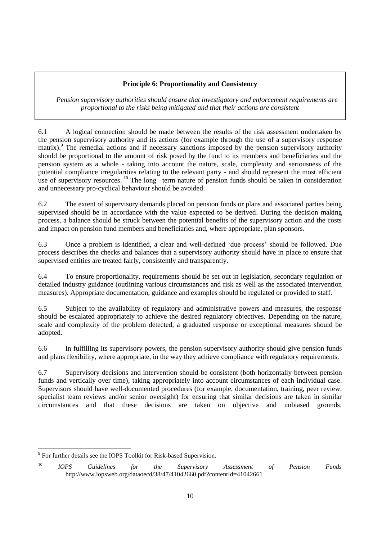# **Principle 6: Proportionality and Consistency**

*Pension supervisory authorities should ensure that investigatory and enforcement requirements are proportional to the risks being mitigated and that their actions are consistent*

6.1 A logical connection should be made between the results of the risk assessment undertaken by the pension supervisory authority and its actions (for example through the use of a supervisory response matrix).<sup>9</sup> The remedial actions and if necessary sanctions imposed by the pension supervisory authority should be proportional to the amount of risk posed by the fund to its members and beneficiaries and the pension system as a whole - taking into account the nature, scale, complexity and seriousness of the potential compliance irregularities relating to the relevant party - and should represent the most efficient use of supervisory resources. <sup>10</sup> The long –term nature of pension funds should be taken in consideration and unnecessary pro-cyclical behaviour should be avoided.

6.2 The extent of supervisory demands placed on pension funds or plans and associated parties being supervised should be in accordance with the value expected to be derived. During the decision making process, a balance should be struck between the potential benefits of the supervisory action and the costs and impact on pension fund members and beneficiaries and, where appropriate, plan sponsors.

6.3 Once a problem is identified, a clear and well-defined 'due process' should be followed. Due process describes the checks and balances that a supervisory authority should have in place to ensure that supervised entities are treated fairly, consistently and transparently.

6.4 To ensure proportionality, requirements should be set out in legislation, secondary regulation or detailed industry guidance (outlining various circumstances and risk as well as the associated intervention measures). Appropriate documentation, guidance and examples should be regulated or provided to staff.

6.5 Subject to the availability of regulatory and administrative powers and measures, the response should be escalated appropriately to achieve the desired regulatory objectives. Depending on the nature, scale and complexity of the problem detected, a graduated response or exceptional measures should be adopted.

6.6 In fulfilling its supervisory powers, the pension supervisory authority should give pension funds and plans flexibility, where appropriate, in the way they achieve compliance with regulatory requirements.

6.7 Supervisory decisions and intervention should be consistent (both horizontally between pension funds and vertically over time), taking appropriately into account circumstances of each individual case. Supervisors should have well-documented procedures (for example, documentation, training, peer review, specialist team reviews and/or senior oversight) for ensuring that similar decisions are taken in similar circumstances and that these decisions are taken on objective and unbiased grounds.

 <sup>9</sup> For further details see the IOPS Toolkit for Risk-based Supervision.

<sup>10</sup> *IOPS Guidelines for the Supervisory Assessment of Pension Funds* http://www.iopsweb.org/dataoecd/38/47/41042660.pdf?contentId=41042661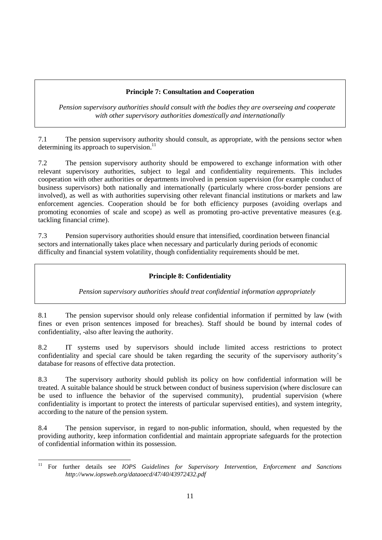# **Principle 7: Consultation and Cooperation**

*Pension supervisory authorities should consult with the bodies they are overseeing and cooperate with other supervisory authorities domestically and internationally*

7.1 The pension supervisory authority should consult, as appropriate, with the pensions sector when determining its approach to supervision.<sup>11</sup>

7.2 The pension supervisory authority should be empowered to exchange information with other relevant supervisory authorities, subject to legal and confidentiality requirements. This includes cooperation with other authorities or departments involved in pension supervision (for example conduct of business supervisors) both nationally and internationally (particularly where cross-border pensions are involved), as well as with authorities supervising other relevant financial institutions or markets and law enforcement agencies. Cooperation should be for both efficiency purposes (avoiding overlaps and promoting economies of scale and scope) as well as promoting pro-active preventative measures (e.g. tackling financial crime).

7.3 Pension supervisory authorities should ensure that intensified, coordination between financial sectors and internationally takes place when necessary and particularly during periods of economic difficulty and financial system volatility, though confidentiality requirements should be met.

# **Principle 8: Confidentiality**

*Pension supervisory authorities should treat confidential information appropriately*

8.1 The pension supervisor should only release confidential information if permitted by law (with fines or even prison sentences imposed for breaches). Staff should be bound by internal codes of confidentiality, -also after leaving the authority.

8.2 IT systems used by supervisors should include limited access restrictions to protect confidentiality and special care should be taken regarding the security of the supervisory authority's database for reasons of effective data protection.

8.3 The supervisory authority should publish its policy on how confidential information will be treated. A suitable balance should be struck between conduct of business supervision (where disclosure can be used to influence the behavior of the supervised community), prudential supervision (where confidentiality is important to protect the interests of particular supervised entities), and system integrity, according to the nature of the pension system.

8.4 The pension supervisor, in regard to non-public information, should, when requested by the providing authority, keep information confidential and maintain appropriate safeguards for the protection of confidential information within its possession.

 $11$ <sup>11</sup> For further details see *IOPS Guidelines for Supervisory Intervention, Enforcement and Sanctions http://www.iopsweb.org/dataoecd/47/40/43972432.pdf*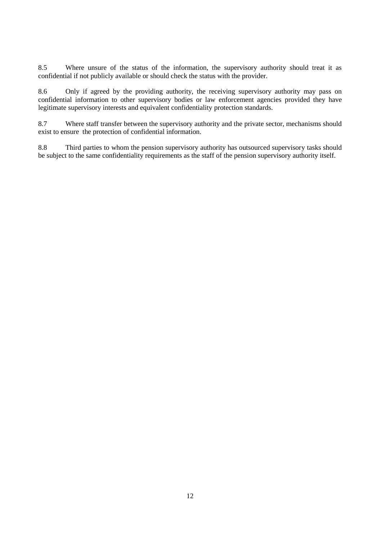8.5 Where unsure of the status of the information, the supervisory authority should treat it as confidential if not publicly available or should check the status with the provider.

8.6 Only if agreed by the providing authority, the receiving supervisory authority may pass on confidential information to other supervisory bodies or law enforcement agencies provided they have legitimate supervisory interests and equivalent confidentiality protection standards.

8.7 Where staff transfer between the supervisory authority and the private sector, mechanisms should exist to ensure the protection of confidential information.

8.8 Third parties to whom the pension supervisory authority has outsourced supervisory tasks should be subject to the same confidentiality requirements as the staff of the pension supervisory authority itself.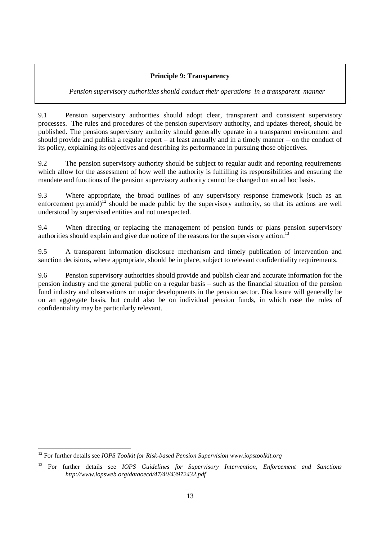#### **Principle 9: Transparency**

#### *Pension supervisory authorities should conduct their operations in a transparent manner*

9.1 Pension supervisory authorities should adopt clear, transparent and consistent supervisory processes. The rules and procedures of the pension supervisory authority, and updates thereof, should be published. The pensions supervisory authority should generally operate in a transparent environment and should provide and publish a regular report – at least annually and in a timely manner – on the conduct of its policy, explaining its objectives and describing its performance in pursuing those objectives.

9.2 The pension supervisory authority should be subject to regular audit and reporting requirements which allow for the assessment of how well the authority is fulfilling its responsibilities and ensuring the mandate and functions of the pension supervisory authority cannot be changed on an ad hoc basis.

9.3 Where appropriate, the broad outlines of any supervisory response framework (such as an enforcement pyramid)<sup>12</sup> should be made public by the supervisory authority, so that its actions are well understood by supervised entities and not unexpected.

9.4 When directing or replacing the management of pension funds or plans pension supervisory authorities should explain and give due notice of the reasons for the supervisory action.<sup>13</sup>

9.5 A transparent information disclosure mechanism and timely publication of intervention and sanction decisions, where appropriate, should be in place, subject to relevant confidentiality requirements.

9.6 Pension supervisory authorities should provide and publish clear and accurate information for the pension industry and the general public on a regular basis – such as the financial situation of the pension fund industry and observations on major developments in the pension sector. Disclosure will generally be on an aggregate basis, but could also be on individual pension funds, in which case the rules of confidentiality may be particularly relevant.

<sup>12</sup> For further details see *IOPS Toolkit for Risk-based Pension Supervision www.iopstoolkit.org*

<sup>13</sup> For further details see *IOPS Guidelines for Supervisory Intervention, Enforcement and Sanctions http://www.iopsweb.org/dataoecd/47/40/43972432.pdf*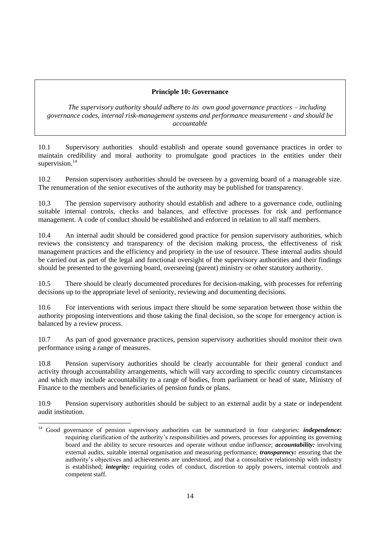#### **Principle 10: Governance**

*The supervisory authority should adhere to its own good governance practices – including governance codes, internal risk-management systems and performance measurement - and should be accountable*

10.1 Supervisory authorities should establish and operate sound governance practices in order to maintain credibility and moral authority to promulgate good practices in the entities under their supervision.<sup>14</sup>

10.2 Pension supervisory authorities should be overseen by a governing board of a manageable size. The renumeration of the senior executives of the authority may be published for transparency.

10.3 The pension supervisory authority should establish and adhere to a governance code, outlining suitable internal controls, checks and balances, and effective processes for risk and performance management. A code of conduct should be established and enforced in relation to all staff members.

10.4 An internal audit should be considered good practice for pension supervisory authorities, which reviews the consistency and transparency of the decision making process, the effectiveness of risk management practices and the efficiency and propriety in the use of resource. These internal audits should be carried out as part of the legal and functional oversight of the supervisory authorities and their findings should be presented to the governing board, overseeing (parent) ministry or other statutory authority.

10.5 There should be clearly documented procedures for decision-making, with processes for referring decisions up to the appropriate level of seniority, reviewing and documenting decisions.

10.6 For interventions with serious impact there should be some separation between those within the authority proposing interventions and those taking the final decision, so the scope for emergency action is balanced by a review process.

10.7 As part of good governance practices, pension supervisory authorities should monitor their own performance using a range of measures.

10.8 Pension supervisory authorities should be clearly accountable for their general conduct and activity through accountability arrangements, which will vary according to specific country circumstances and which may include accountability to a range of bodies, from parliament or head of state, Ministry of Finance to the members and beneficiaries of pension funds or plans.

10.9 Pension supervisory authorities should be subject to an external audit by a state or independent audit institution.

 $\overline{a}$ 

<sup>&</sup>lt;sup>14</sup> Good governance of pension supervisory authorities can be summarized in four categories: *independence*: requiring clarification of the authority's responsibilities and powers, processes for appointing its governing board and the ability to secure resources and operate without undue influence; *accountability:* involving external audits, suitable internal organisation and measuring performance; *transparency:* ensuring that the authority's objectives and achievements are understood, and that a consultative relationship with industry is established; *integrity:* requiring codes of conduct, discretion to apply powers, internal controls and competent staff.